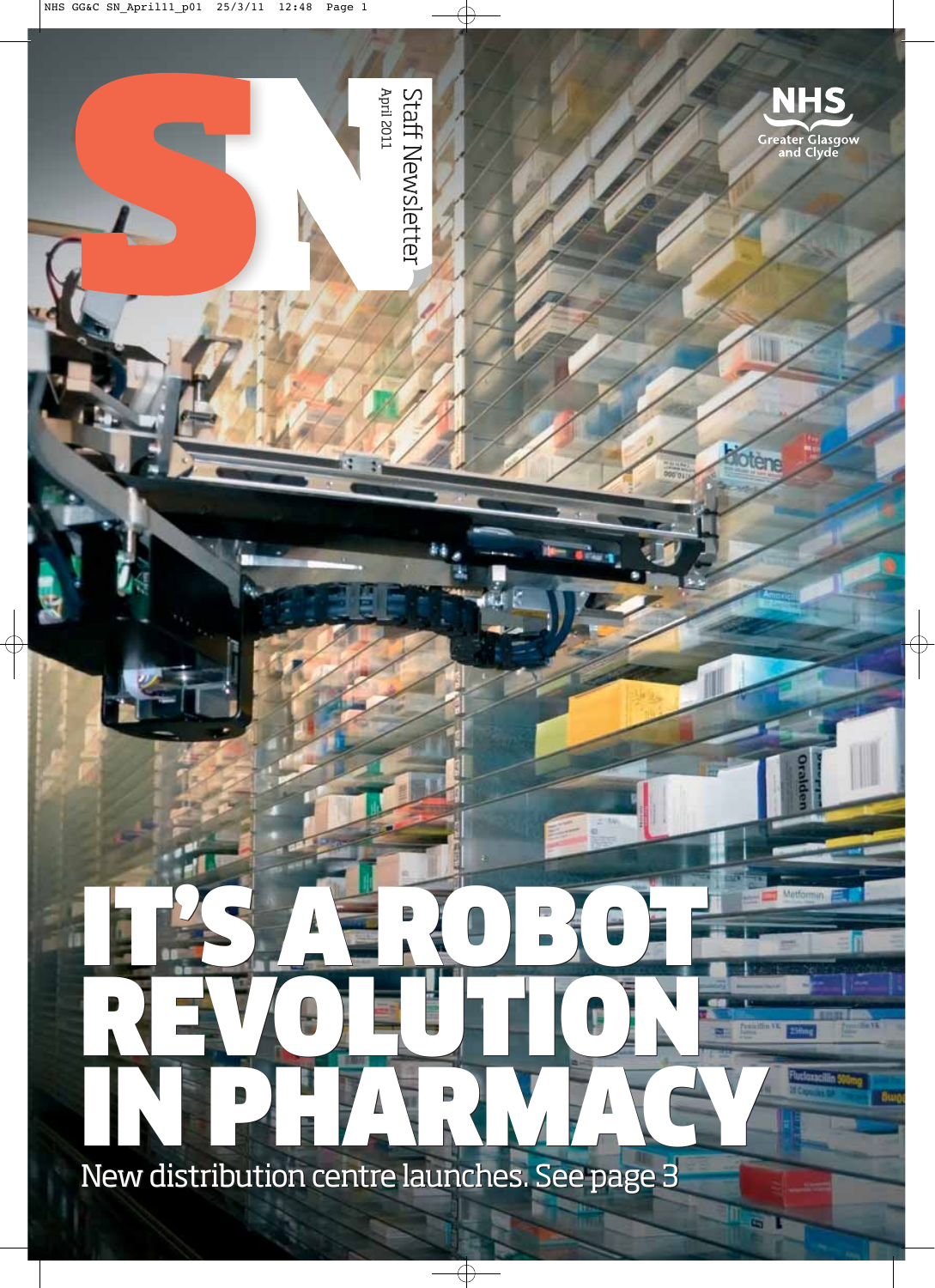

New distribution centre launches. See page 3

m

a T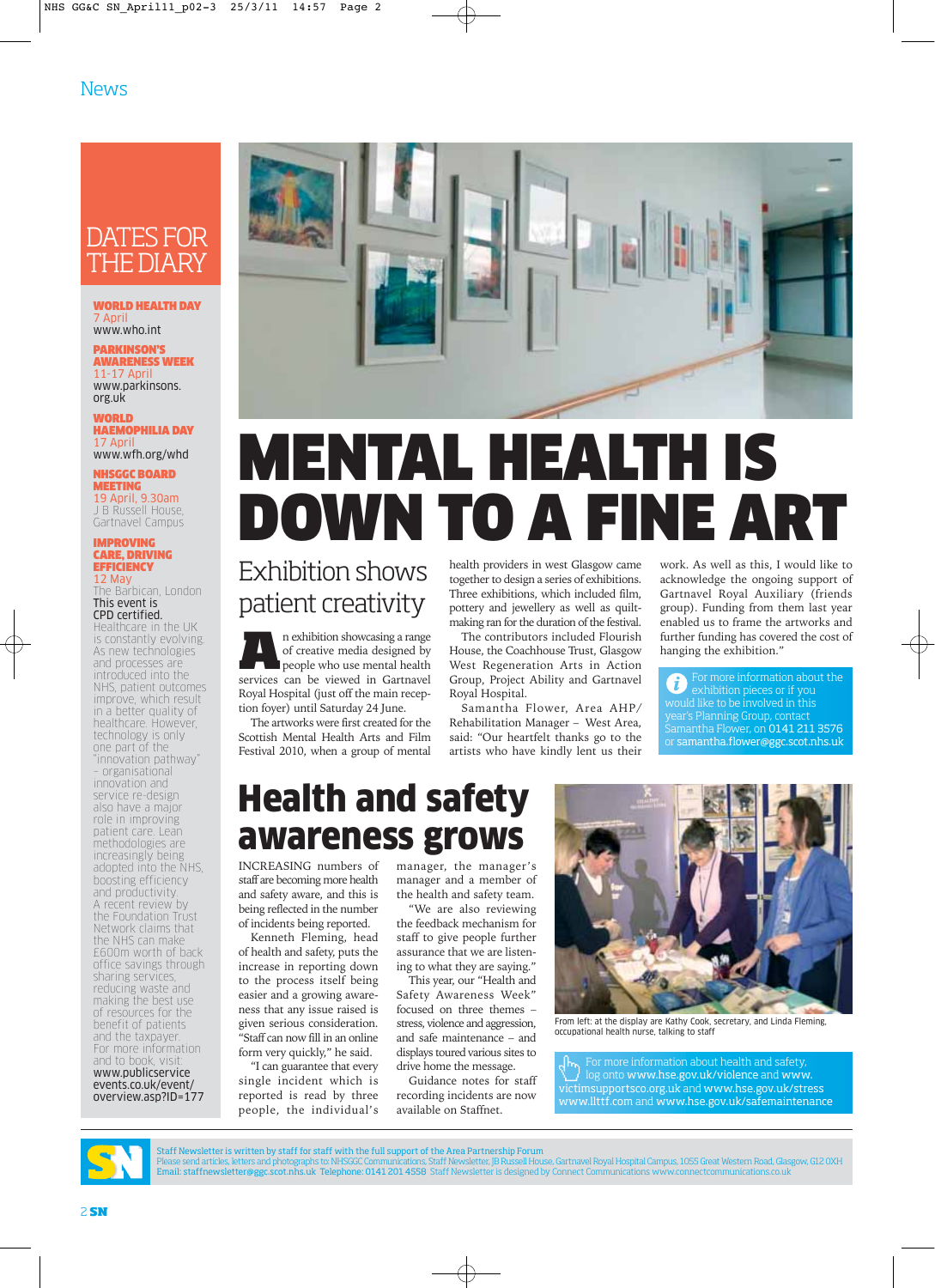## DATES FOR THE DIARY

#### WORLD HEALTH DAY 7 April www.who.int

#### PARKINSON'S AWARENESS WEEK

11-17 April www.parkinsons. org.uk

**WORLD** HAEMOPHILIA DAY 17 April www.wfh.org/whd

NHSGGC BOARD MEETING 19 April, 9.30am J B Russell House Gartnavel Campus

#### IMPROVING CARE, DRIVING **EFFICIENCY** 12 May

The Barbican, London This event is CPD certified.

Healthcare in the UK is constantly evolving. As new technologies and processes are introduced into the NHS, patient outcomes improve, which result in a better quality of healthcare. However, technology is only one part of the "innovation pathway" – organisational innovation and service re-design also have a major role in improving patient care. Lean methodologies are increasingly being adopted into the NHS, boosting efficiency and productivity. A recent review by the Foundation Trust Network claims that the NHS can make £600m worth of back office savings through sharing services, reducing waste and making the best use of resources for the benefit of patients and the taxpayer. For more information and to book, visit: www.publicservice events.co.uk/event/ overview.asp?ID=177



## MENTAL HEALTH IS DOWN TO A FINE A

## Exhibition shows patient creativity

**A**n exhibition showcasing a range<br>of creative media designed by<br>people who use mental health<br>services can be viewed in Gartnavel of creative media designed by services can be viewed in Gartnavel Royal Hospital (just off the main reception foyer) until Saturday 24 June.

The artworks were first created for the Scottish Mental Health Arts and Film Festival 2010, when a group of mental health providers in west Glasgow came together to design a series of exhibitions. Three exhibitions, which included film, pottery and jewellery as well as quiltmaking ran for the duration of the festival.

The contributors included Flourish House, the Coachhouse Trust, Glasgow West Regeneration Arts in Action Group, Project Ability and Gartnavel Royal Hospital.

Samantha Flower, Area AHP/ Rehabilitation Manager – West Area, said: "Our heartfelt thanks go to the artists who have kindly lent us their work. As well as this, I would like to acknowledge the ongoing support of Gartnavel Royal Auxiliary (friends group). Funding from them last year enabled us to frame the artworks and further funding has covered the cost of hanging the exhibition."

For more information about the ĭ exhibition pieces or if you would like to be involved in this year's Planning Group, contact Samantha Flower, on 0141 211 3576 or samantha.flower@ggc.scot.nhs.uk

## Health and safety awareness grows

INCREASING numbers of staff are becoming more health and safety aware, and this is being reflected in the number of incidents being reported.

Kenneth Fleming, head of health and safety, puts the increase in reporting down to the process itself being easier and a growing awareness that any issue raised is given serious consideration. "Staff can now fill in an online form very quickly," he said.

"I can guarantee that every single incident which is reported is read by three people, the individual's manager, the manager's manager and a member of the health and safety team.

"We are also reviewing the feedback mechanism for staff to give people further assurance that we are listening to what they are saying."

This year, our "Health and Safety Awareness Week" focused on three themes – stress, violence and aggression, and safe maintenance – and displays toured various sites to drive home the message.

Guidance notes for staff recording incidents are now available on Staffnet.



From left: at the display are Kathy Cook, secretary, and Linda Fleming, occupational health nurse, talking to staff

For more information about health and safety, log onto www.hse.gov.uk/violence and www. victimsupportsco.org.uk and www.hse.gov.uk/stress www.llttf.com and www.hse.gov.uk/safemaintenance



Staff Newsletter is written by staff for staff with the full support of the Area Partnership Forum

Please send articles, letters and photographs to: NHSGGC Communications, Staff Newsletter, JB Russell House, Gartnavel Royal Hospital Campus, 1055 Great Western Road, Glasgow, G12 0XH<br>Email: staffnewsletter@ggc.scot.nhs.uk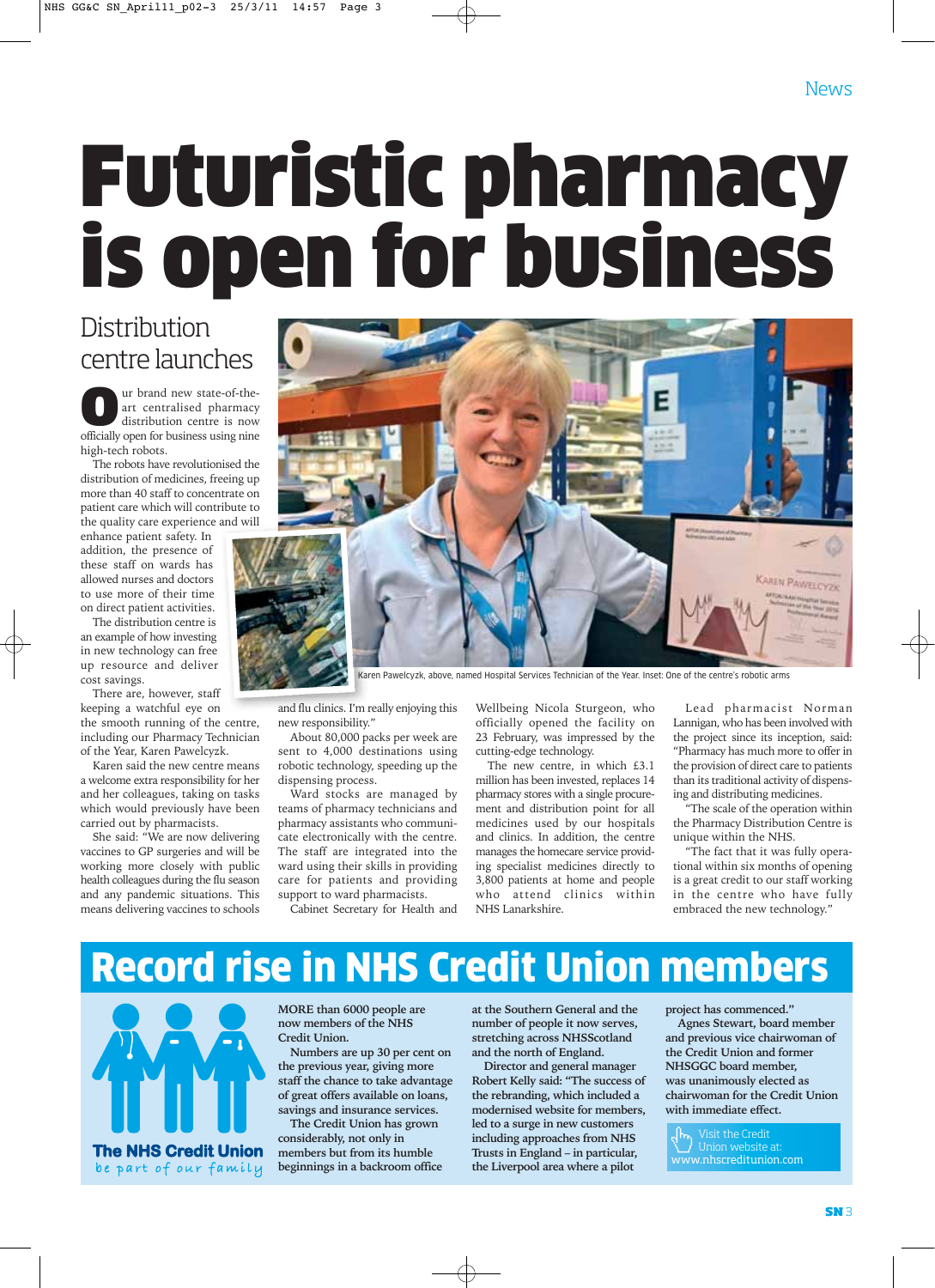# Futuristic pharmacy is open for business

## **Distribution** centre launches

**Our** brand new state-of-the-<br>
art centralised pharmacy<br>
distribution centre is now<br>
officially open for business using nine art centralised pharmacy officially open for business using nine high-tech robots.

The robots have revolutionised the distribution of medicines, freeing up more than 40 staff to concentrate on patient care which will contribute to the quality care experience and will

enhance patient safety. In addition, the presence of these staff on wards has allowed nurses and doctors to use more of their time on direct patient activities.

The distribution centre is an example of how investing in new technology can free up resource and deliver cost savings.

There are, however, staff keeping a watchful eye on the smooth running of the centre, including our Pharmacy Technician of the Year, Karen Pawelcyzk.

Karen said the new centre means a welcome extra responsibility for her and her colleagues, taking on tasks which would previously have been carried out by pharmacists.

She said: "We are now delivering vaccines to GP surgeries and will be working more closely with public health colleagues during the flu season and any pandemic situations. This means delivering vaccines to schools



Karen Pawelcyzk, above, named Hospital Services Technician of the Year. Inset: One of the centre's robotic arms

and flu clinics. I'm really enjoying this new responsibility."

About 80,000 packs per week are sent to 4,000 destinations using robotic technology, speeding up the dispensing process.

Ward stocks are managed by teams of pharmacy technicians and pharmacy assistants who communicate electronically with the centre. The staff are integrated into the ward using their skills in providing care for patients and providing support to ward pharmacists.

Cabinet Secretary for Health and

Wellbeing Nicola Sturgeon, who officially opened the facility on 23 February, was impressed by the cutting-edge technology.

The new centre, in which £3.1 million has been invested, replaces 14 pharmacy stores with a single procurement and distribution point for all medicines used by our hospitals and clinics. In addition, the centre manages the homecare service providing specialist medicines directly to 3,800 patients at home and people who attend clinics within NHS Lanarkshire.

Lead pharmacist Norman Lannigan, who has been involved with the project since its inception, said: "Pharmacy has much more to offer in the provision of direct care to patients than its traditional activity of dispensing and distributing medicines.

"The scale of the operation within the Pharmacy Distribution Centre is unique within the NHS.

"The fact that it was fully operational within six months of opening is a great credit to our staff working in the centre who have fully embraced the new technology."

## Record rise in NHS Credit Union members



**MORE than 6000 people are now members of the NHS Credit Union.**

**Numbers are up 30 per cent on the previous year, giving more staff the chance to take advantage of great offers available on loans, savings and insurance services. The Credit Union has grown**

**considerably, not only in members but from its humble beginnings in a backroom office**

**at the Southern General and the number of people it now serves, stretching across NHSScotland and the north of England.** 

**Director and general manager Robert Kelly said: "The success of the rebranding, which included a modernised website for members, led to a surge in new customers including approaches from NHS Trusts in England – in particular, the Liverpool area where a pilot**

**project has commenced."** 

**Agnes Stewart, board member and previous vice chairwoman of the Credit Union and former NHSGGC board member, was unanimously elected as chairwoman for the Credit Union with immediate effect.**

Visit the Credit Union website at: www.nhscreditunion.com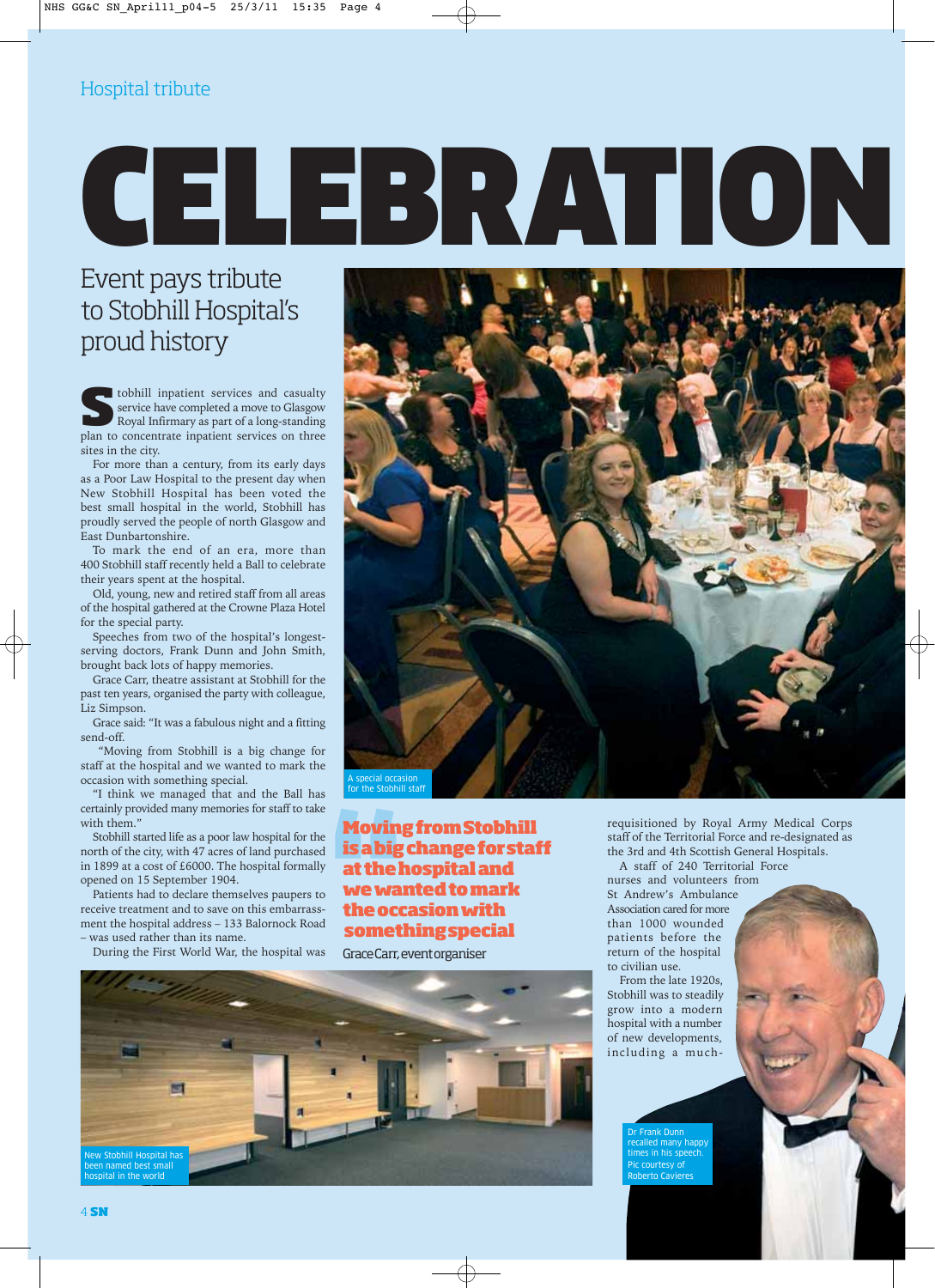# CELEBRATION

## Event pays tribute to Stobhill Hospital's proud history

**SET SERVICE IS A LOCALLY SERVICE A LOCALLY SERVICE A LOCALLY SERVICE A LOCALLY AND ROYAL INFORMATION ROYAL INTERNATIONAL TO CONCEPT THE SERVICE SOLUTION OF A LOCAL INTERNATIONAL SERVICE SOLUTION AND RESPONDENT A LOCAL INT** service have completed a move to Glasgow plan to concentrate inpatient services on three sites in the city.

For more than a century, from its early days as a Poor Law Hospital to the present day when New Stobhill Hospital has been voted the best small hospital in the world, Stobhill has proudly served the people of north Glasgow and East Dunbartonshire.

To mark the end of an era, more than 400 Stobhill staff recently held a Ball to celebrate their years spent at the hospital.

Old, young, new and retired staff from all areas of the hospital gathered at the Crowne Plaza Hotel for the special party.

Speeches from two of the hospital's longestserving doctors, Frank Dunn and John Smith, brought back lots of happy memories.

Grace Carr, theatre assistant at Stobhill for the past ten years, organised the party with colleague, Liz Simpson.

Grace said: "It was a fabulous night and a fitting send-off.

"Moving from Stobhill is a big change for staff at the hospital and we wanted to mark the occasion with something special.

"I think we managed that and the Ball has certainly provided many memories for staff to take with them."

Stobhill started life as a poor law hospital for the north of the city, with 47 acres of land purchased in 1899 at a cost of £6000. The hospital formally opened on 15 September 1904.

Patients had to declare themselves paupers to receive treatment and to save on this embarrassment the hospital address – 133 Balornock Road was used rather than its name.

During the First World War, the hospital was

New Stobhill Hospital has been named best small hospital in the world



**Moving from Stobhill is a big change for staff at the hospital and we wanted to mark the occasion with something special**

Grace Carr, event organiser



requisitioned by Royal Army Medical Corps staff of the Territorial Force and re-designated as the 3rd and 4th Scottish General Hospitals.

A staff of 240 Territorial Force nurses and volunteers from St Andrew's Ambulance Association cared for more than 1000 wounded patients before the return of the hospital to civilian use.

From the late 1920s, Stobhill was to steadily grow into a modern hospital with a number of new developments, including a much-

> Dr Frank Dunn recalled many happy times in his speech. Pic courtesy of Roberto Cavieres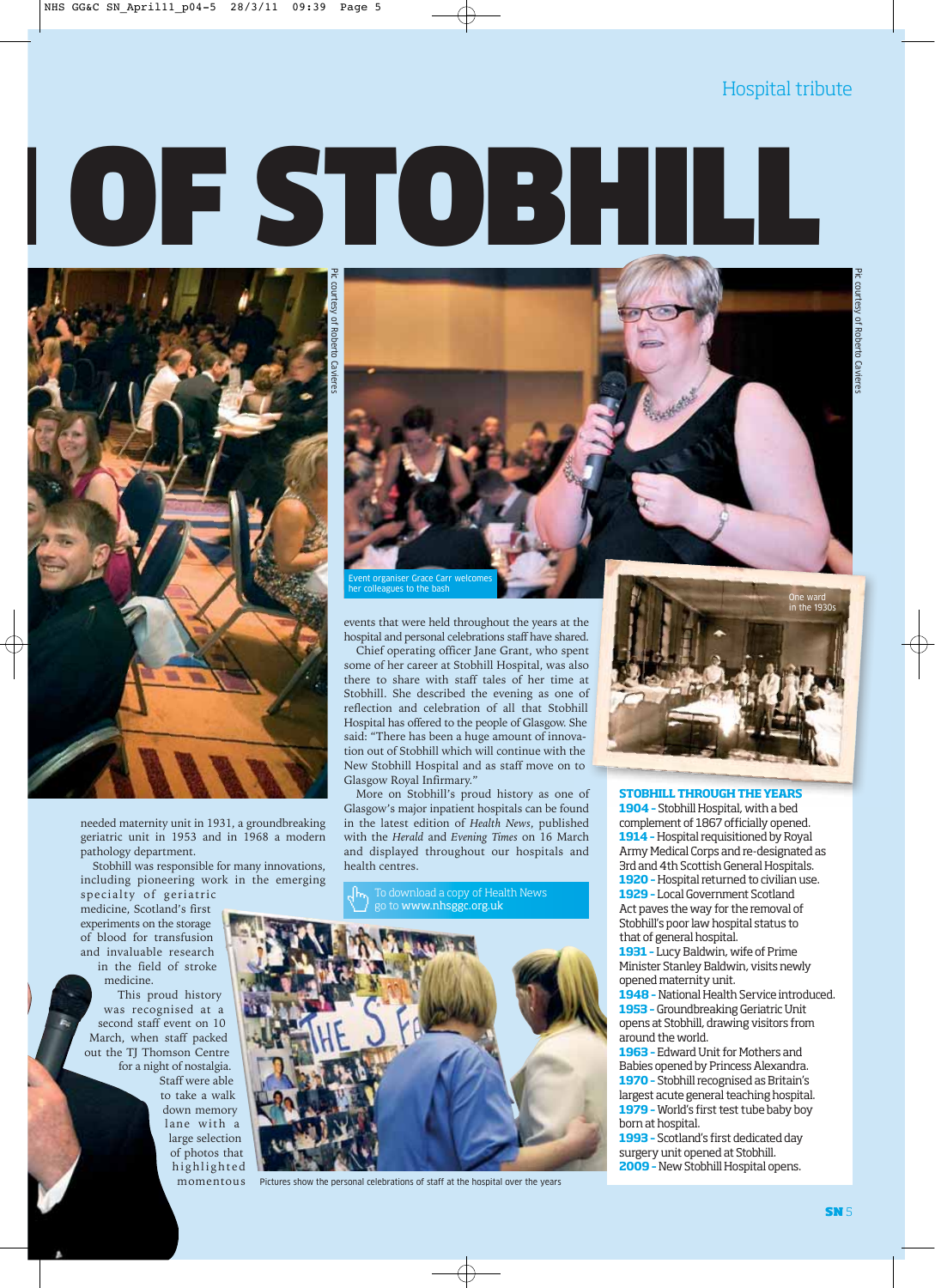# OF STOBHILL



needed maternity unit in 1931, a groundbreaking geriatric unit in 1953 and in 1968 a modern pathology department.

Stobhill was responsible for many innovations, including pioneering work in the emerging

specialty of geriatric medicine, Scotland's first experiments on the storage of blood for transfusion and invaluable research in the field of stroke medicine.

This proud history was recognised at a second staff event on 10 March, when staff packed out the TJ Thomson Centre for a night of nostalgia. Staff were able to take a walk down memory lane with a large selection of photos that highlighted momentous



events that were held throughout the years at the hospital and personal celebrations staff have shared.

Chief operating officer Jane Grant, who spent some of her career at Stobhill Hospital, was also there to share with staff tales of her time at Stobhill. She described the evening as one of reflection and celebration of all that Stobhill Hospital has offered to the people of Glasgow. She said: "There has been a huge amount of innovation out of Stobhill which will continue with the New Stobhill Hospital and as staff move on to Glasgow Royal Infirmary."

More on Stobhill's proud history as one of Glasgow's major inpatient hospitals can be found in the latest edition of *Health News*, published with the *Herald* and *Evening Times* on 16 March and displayed throughout our hospitals and health centres.



Pictures show the personal celebrations of staff at the hospital over the years



#### **STOBHILL THROUGH THE YEARS**

**1904 –** Stobhill Hospital, with a bed complement of 1867 officially opened. **1914 –** Hospital requisitioned by Royal Army Medical Corps and re-designated as 3rd and 4th Scottish General Hospitals. **1920 –** Hospital returned to civilian use. **1929 –** Local Government Scotland Act paves the way for the removal of Stobhill's poor law hospital status to that of general hospital.

**1931 –** Lucy Baldwin, wife of Prime Minister Stanley Baldwin, visits newly opened maternity unit.

**1948 –** National Health Service introduced. **1953 –** Groundbreaking Geriatric Unit opens at Stobhill, drawing visitors from around the world.

**1963 –** Edward Unit for Mothers and Babies opened by Princess Alexandra. **1970 –** Stobhill recognised as Britain's largest acute general teaching hospital. **1979 –** World's first test tube baby boy born at hospital.

**1993 –** Scotland's first dedicated day surgery unit opened at Stobhill. **2009 –** New Stobhill Hospital opens.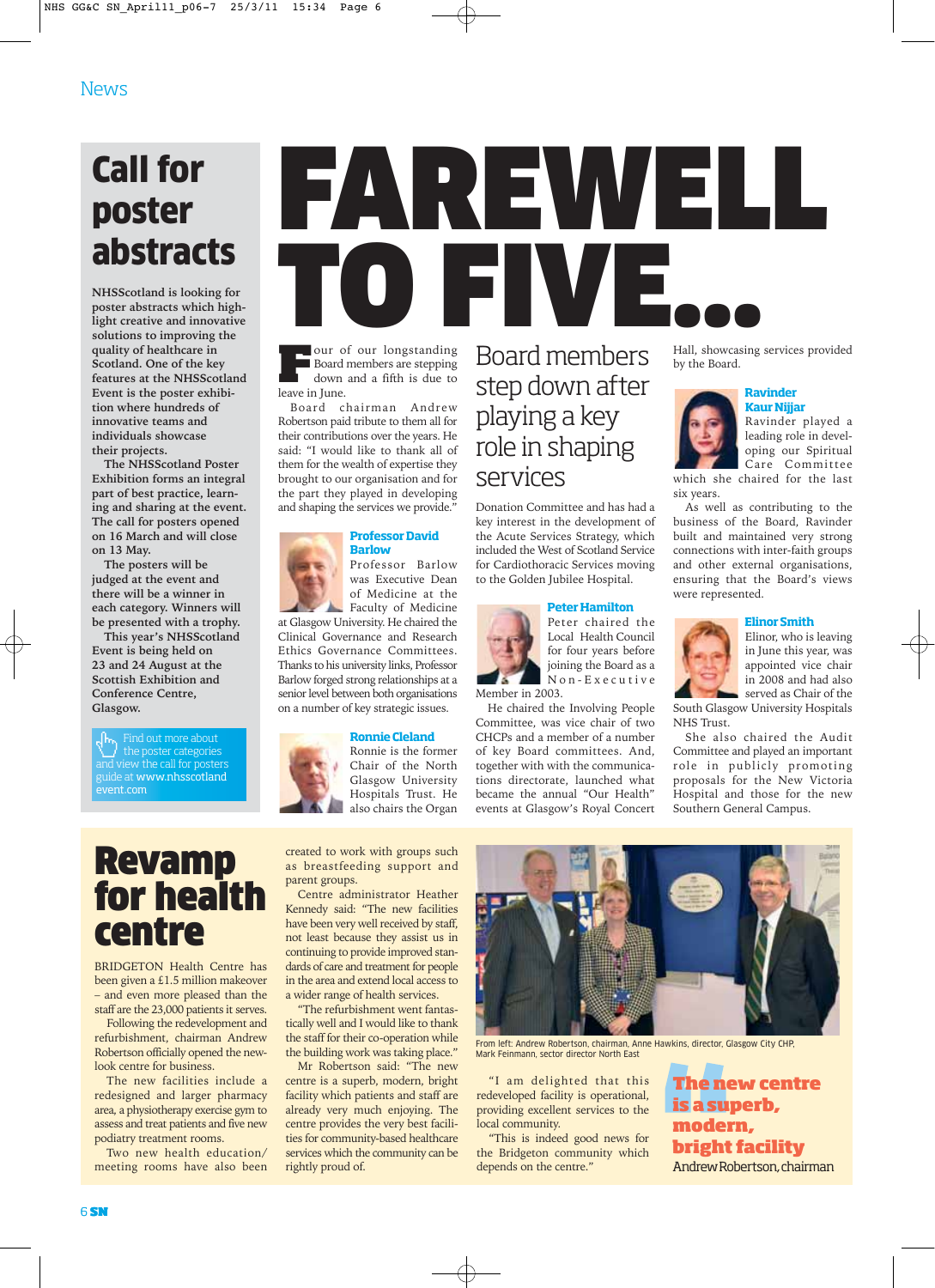## Call for poster abstracts

**NHSScotland is looking for poster abstracts which highlight creative and innovative solutions to improving the quality of healthcare in Scotland. One of the key features at the NHSScotland Event is the poster exhibition where hundreds of innovative teams and individuals showcase their projects.** 

**The NHSScotland Poster Exhibition forms an integral part of best practice, learning and sharing at the event. The call for posters opened on 16 March and will close on 13 May.** 

**The posters will be judged at the event and there will be a winner in each category. Winners will be presented with a trophy.**

**This year's NHSScotland Event is being held on 23 and 24 August at the Scottish Exhibition and Conference Centre, Glasgow.** 

Find out more about the poster categories and view the call for posters guide at www.nhsscotland event.com

## Revamp for health centre

BRIDGETON Health Centre has been given a £1.5 million makeover – and even more pleased than the staff are the 23,000 patients it serves.

Following the redevelopment and refurbishment, chairman Andrew Robertson officially opened the newlook centre for business.

The new facilities include a redesigned and larger pharmacy area, a physiotherapy exercise gym to assess and treat patients and five new podiatry treatment rooms.

Two new health education/ meeting rooms have also been

# FAREWELL FIVE.

**Four of our longstanding**<br>Board members are stepping<br>down and a fifth is due to Board members are stepping down and a fifth is due to leave in June.

Board chairman Andrew Robertson paid tribute to them all for their contributions over the years. He said: "I would like to thank all of them for the wealth of expertise they brought to our organisation and for the part they played in developing and shaping the services we provide.

#### **Professor David Barlow**

Professor Barlow was Executive Dean of Medicine at the

Faculty of Medicine at Glasgow University. He chaired the Clinical Governance and Research Ethics Governance Committees. Thanks to his university links, Professor Barlow forged strong relationships at a senior level between both organisations on a number of key strategic issues.

#### **Ronnie Cleland**



created to work with groups such as breastfeeding support and parent groups.

Centre administrator Heather Kennedy said: "The new facilities have been very well received by staff, not least because they assist us in continuing to provide improved standards of care and treatment for people in the area and extend local access to a wider range of health services.

"The refurbishment went fantastically well and I would like to thank the staff for their co-operation while the building work was taking place."

Mr Robertson said: "The new centre is a superb, modern, bright facility which patients and staff are already very much enjoying. The centre provides the very best facilities for community-based healthcare services which the community can be rightly proud of.

Board members step down after playing a key role in shaping services

Donation Committee and has had a key interest in the development of the Acute Services Strategy, which included the West of Scotland Service for Cardiothoracic Services moving to the Golden Jubilee Hospital.

#### **Peter Hamilton**



Peter chaired the Local Health Council for four years before joining the Board as a Non-Executive

He chaired the Involving People Committee, was vice chair of two CHCPs and a member of a number of key Board committees. And, together with with the communications directorate, launched what became the annual "Our Health" events at Glasgow's Royal Concert

Hall, showcasing services provided by the Board.

**Ravinder Kaur Nijjar** 

Ravinder played a leading role in developing our Spiritual Care Committee

which she chaired for the last six years.

As well as contributing to the business of the Board, Ravinder built and maintained very strong connections with inter-faith groups and other external organisations, ensuring that the Board's views were represented.



Elinor, who is leaving in June this year, was appointed vice chair in 2008 and had also

**Elinor Smith** 

served as Chair of the South Glasgow University Hospitals NHS Trust.

She also chaired the Audit Committee and played an important role in publicly promoting proposals for the New Victoria Hospital and those for the new Southern General Campus.



From left: Andrew Robertson, chairman, Anne Hawkins, director, Glasgow City CHP, Mark Feinmann, sector director North East

"I am delighted that this redeveloped facility is operational, providing excellent services to the local community.

"This is indeed good news for the Bridgeton community which depends on the centre."

**The new centre is a superb, modern, bright facility** Andrew Robertson, chairman

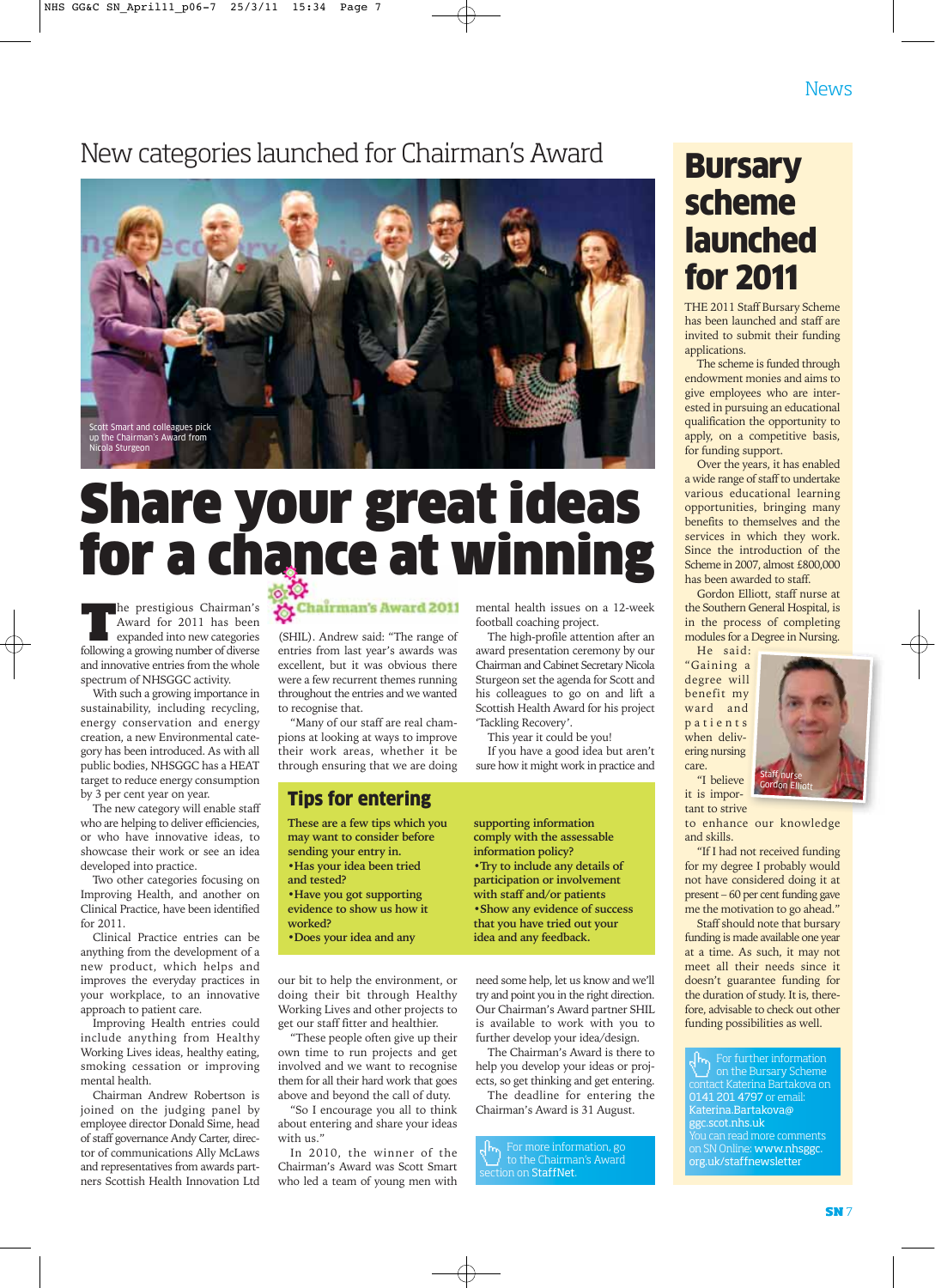## New categories launched for Chairman's Award



## Share your great ideas for a chance at winning

**The prestigious Chairman's**<br>Award for 2011 has been<br>expanded into new categories<br>following a growing number of diverse Award for 2011 has been expanded into new categories following a growing number of diverse and innovative entries from the whole spectrum of NHSGGC activity.

With such a growing importance in sustainability, including recycling, energy conservation and energy creation, a new Environmental category has been introduced. As with all public bodies, NHSGGC has a HEAT target to reduce energy consumption by 3 per cent year on year.

The new category will enable staff who are helping to deliver efficiencies, or who have innovative ideas, to showcase their work or see an idea developed into practice.

Two other categories focusing on Improving Health, and another on Clinical Practice, have been identified for 2011.

Clinical Practice entries can be anything from the development of a new product, which helps and improves the everyday practices in your workplace, to an innovative approach to patient care.

Improving Health entries could include anything from Healthy Working Lives ideas, healthy eating, smoking cessation or improving mental health.

Chairman Andrew Robertson is joined on the judging panel by employee director Donald Sime, head of staff governance Andy Carter, director of communications Ally McLaws and representatives from awards partners Scottish Health Innovation Ltd

## Chairman's Award 2011

(SHIL). Andrew said: "The range of entries from last year's awards was excellent, but it was obvious there were a few recurrent themes running throughout the entries and we wanted to recognise that.

"Many of our staff are real champions at looking at ways to improve their work areas, whether it be through ensuring that we are doing

### Tips for entering

**These are a few tips which you may want to consider before sending your entry in. •Has your idea been tried and tested? •Have you got supporting evidence to show us how it worked?**

**•Does your idea and any**

our bit to help the environment, or doing their bit through Healthy Working Lives and other projects to get our staff fitter and healthier.

"These people often give up their own time to run projects and get involved and we want to recognise them for all their hard work that goes above and beyond the call of duty.

"So I encourage you all to think about entering and share your ideas with us."

In 2010, the winner of the Chairman's Award was Scott Smart who led a team of young men with mental health issues on a 12-week football coaching project.

The high-profile attention after an award presentation ceremony by our Chairman and Cabinet Secretary Nicola Sturgeon set the agenda for Scott and his colleagues to go on and lift a Scottish Health Award for his project 'Tackling Recovery'.

This year it could be you!

If you have a good idea but aren't sure how it might work in practice and

**supporting information comply with the assessable information policy? •Try to include any details of participation or involvement with staff and/or patients •Show any evidence of success that you have tried out your idea and any feedback.**

need some help, let us know and we'll try and point you in the right direction. Our Chairman's Award partner SHIL is available to work with you to further develop your idea/design.

The Chairman's Award is there to help you develop your ideas or projects, so get thinking and get entering.

The deadline for entering the Chairman's Award is 31 August.

For more information, go to the Chairman's Award  $\overline{\phantom{a}}$ ection on StaffNet.

## **Bursary** scheme launched for 2011

THE 2011 Staff Bursary Scheme has been launched and staff are invited to submit their funding applications.

The scheme is funded through endowment monies and aims to give employees who are interested in pursuing an educational qualification the opportunity to apply, on a competitive basis, for funding support.

Over the years, it has enabled a wide range of staff to undertake various educational learning opportunities, bringing many benefits to themselves and the services in which they work. Since the introduction of the Scheme in 2007, almost £800,000 has been awarded to staff.

Gordon Elliott, staff nurse at the Southern General Hospital, is in the process of completing modules for a Degree in Nursing.

He said: "Gaining a degree will benefit my ward and patients when delivering nursing care. "I believe



it is important to strive

to enhance our knowledge and skills.

"If I had not received funding for my degree I probably would not have considered doing it at present – 60 per cent funding gave me the motivation to go ahead."

Staff should note that bursary funding is made available one year at a time. As such, it may not meet all their needs since it doesn't guarantee funding for the duration of study. It is, therefore, advisable to check out other funding possibilities as well.

For further information on the Bursary Scheme contact Katerina Bartakova on 0141 201 4797 or email: Katerina.Bartakova@ ggc.scot.nhs.uk You can read more comments on SN Online: www.nhsggc. org.uk/staffnewsletter